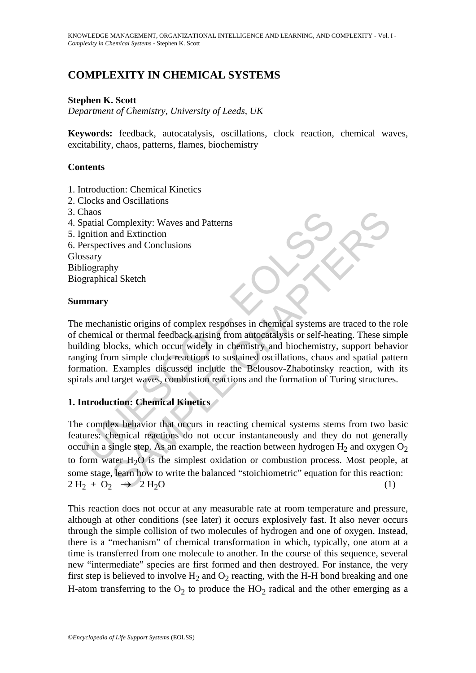# **COMPLEXITY IN CHEMICAL SYSTEMS**

### **Stephen K. Scott**

*Department of Chemistry, University of Leeds, UK* 

**Keywords:** feedback, autocatalysis, oscillations, clock reaction, chemical waves, excitability, chaos, patterns, flames, biochemistry

### **Contents**

- 1. Introduction: Chemical Kinetics
- 2. Clocks and Oscillations
- 3. Chaos
- 4. Spatial Complexity: Waves and Patterns
- 5. Ignition and Extinction
- 6. Perspectives and Conclusions Glossary Bibliography

Biographical Sketch

#### **Summary**

That<br>
matial Complexity: Waves and Patterns<br>
mition and Extinction<br>
erspectives and Conclusions<br>
ssary<br>
liography<br>
marry<br>
mechanistic origins of complex responses in chemical systems are<br>
hemical or thermal feedback arisin The mechanistic origins of complex responses in chemical systems are traced to the role of chemical or thermal feedback arising from autocatalysis or self-heating. These simple building blocks, which occur widely in chemistry and biochemistry, support behavior ranging from simple clock reactions to sustained oscillations, chaos and spatial pattern formation. Examples discussed include the Belousov-Zhabotinsky reaction, with its spirals and target waves, combustion reactions and the formation of Turing structures.

### **1. Introduction: Chemical Kinetics**

Complexity: Waves and Patterns<br>and Extinction<br>and Extinction<br>wives and Conclusions<br>hy<br>al Sketch<br> $\frac{1}{2}$ <br>al Sketch<br>or thermal feedback arising from attocatalysis or self-heating. These since<br>ocks, which occur widely in c The complex behavior that occurs in reacting chemical systems stems from two basic features: chemical reactions do not occur instantaneously and they do not generally occur in a single step. As an example, the reaction between hydrogen  $H_2$  and oxygen  $O_2$ to form water  $H_2O$  is the simplest oxidation or combustion process. Most people, at some stage, learn how to write the balanced "stoichiometric" equation for this reaction:  $2 \text{H}_2 + \text{O}_2 \rightarrow 2 \text{H}_2\text{O}$  (1)

This reaction does not occur at any measurable rate at room temperature and pressure, although at other conditions (see later) it occurs explosively fast. It also never occurs through the simple collision of two molecules of hydrogen and one of oxygen. Instead, there is a "mechanism" of chemical transformation in which, typically, one atom at a time is transferred from one molecule to another. In the course of this sequence, several new "intermediate" species are first formed and then destroyed. For instance, the very first step is believed to involve  $H_2$  and  $O_2$  reacting, with the H-H bond breaking and one H-atom transferring to the  $O_2$  to produce the  $HO_2$  radical and the other emerging as a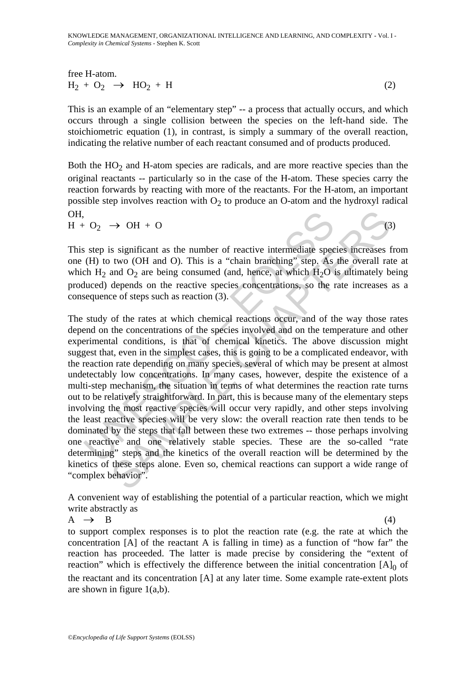KNOWLEDGE MANAGEMENT, ORGANIZATIONAL INTELLIGENCE AND LEARNING, AND COMPLEXITY **-** Vol. I - *Complexity in Chemical Systems* - Stephen K. Scott

free H-atom.  
\n
$$
H_2 + O_2 \rightarrow HO_2 + H
$$
\n(2)

This is an example of an "elementary step" -- a process that actually occurs, and which occurs through a single collision between the species on the left-hand side. The stoichiometric equation (1), in contrast, is simply a summary of the overall reaction, indicating the relative number of each reactant consumed and of products produced.

Both the  $HO<sub>2</sub>$  and H-atom species are radicals, and are more reactive species than the original reactants -- particularly so in the case of the H-atom. These species carry the reaction forwards by reacting with more of the reactants. For the H-atom, an important possible step involves reaction with  $O<sub>2</sub>$  to produce an O-atom and the hydroxyl radical OH,

 $H + O<sub>2</sub> \rightarrow OH + O$  (3)

This step is significant as the number of reactive intermediate species increases from one (H) to two (OH and O). This is a "chain branching" step. As the overall rate at which  $H_2$  and  $O_2$  are being consumed (and, hence, at which  $H_2O$  is ultimately being produced) depends on the reactive species concentrations, so the rate increases as a consequence of steps such as reaction (3).

 $O_2$  → OH + O<br>s step is significant as the number of reactive intermediate spec<br>(H) to two (OH and O). This is a "chain branching" step. As<br>ch H<sub>2</sub> and O<sub>2</sub> are being consumed (and, hence, at which H<sub>2</sub>O i<br>luced) depend  $\rightarrow$  OH + O<br>  $\rightarrow$  OH + O<br>
s significant as the number of reactive intermediate species increases t<br>
two (OH and O). This is a "chain branching" step. As the overall rat<br>
and O<sub>2</sub> are being consumed (and, hence, at which H The study of the rates at which chemical reactions occur, and of the way those rates depend on the concentrations of the species involved and on the temperature and other experimental conditions, is that of chemical kinetics. The above discussion might suggest that, even in the simplest cases, this is going to be a complicated endeavor, with the reaction rate depending on many species, several of which may be present at almost undetectably low concentrations. In many cases, however, despite the existence of a multi-step mechanism, the situation in terms of what determines the reaction rate turns out to be relatively straightforward. In part, this is because many of the elementary steps involving the most reactive species will occur very rapidly, and other steps involving the least reactive species will be very slow: the overall reaction rate then tends to be dominated by the steps that fall between these two extremes -- those perhaps involving one reactive and one relatively stable species. These are the so-called "rate determining" steps and the kinetics of the overall reaction will be determined by the kinetics of these steps alone. Even so, chemical reactions can support a wide range of "complex behavior".

A convenient way of establishing the potential of a particular reaction, which we might write abstractly as

 $A \rightarrow B$  (4) to support complex responses is to plot the reaction rate (e.g. the rate at which the concentration [A] of the reactant A is falling in time) as a function of "how far" the reaction has proceeded. The latter is made precise by considering the "extent of reaction" which is effectively the difference between the initial concentration  $[A]_0$  of the reactant and its concentration [A] at any later time. Some example rate-extent plots are shown in figure  $1(a,b)$ .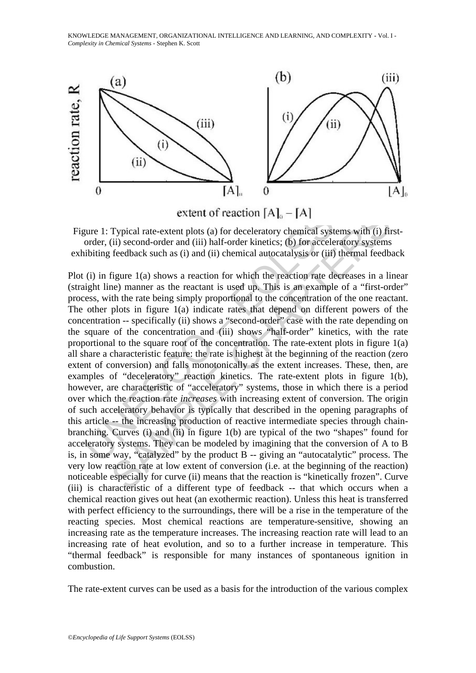KNOWLEDGE MANAGEMENT, ORGANIZATIONAL INTELLIGENCE AND LEARNING, AND COMPLEXITY **-** Vol. I - *Complexity in Chemical Systems* - Stephen K. Scott



Figure 1: Typical rate-extent plots (a) for deceleratory chemical systems with (i) firstorder, (ii) second-order and (iii) half-order kinetics; (b) for acceleratory systems exhibiting feedback such as (i) and (ii) chemical autocatalysis or (iii) thermal feedback

**EXECUTE: EXECUTE: EXECUTE: EXECUTE: EXECUTE: EXECUTE: EXECUTE: EXECUTE: EXECUTE: EXECUTE: EXECUTE: EXECUTE: EXECUTE: EXECUTE: EXECUTE: EXECUTE: EXECUTE: EXECUTE: EXECUTE: EXECUTE: EXECUTE THE CONSTRAND**<br> **EXECUTE TYPICAL TYPICAL TYPICAL TYPICAL TYPICAL THEOT (ii)** second-order and (iii) half-order kinetics; (b) for acceleratory systems feedback such as (i) and (ii) chemical autocatalysis or (iii) Plot (i) in figure 1(a) shows a reaction for which the reaction rate decreases in a linear (straight line) manner as the reactant is used up. This is an example of a "first-order" process, with the rate being simply proportional to the concentration of the one reactant. The other plots in figure 1(a) indicate rates that depend on different powers of the concentration -- specifically (ii) shows a "second-order" case with the rate depending on the square of the concentration and (iii) shows "half-order" kinetics, with the rate proportional to the square root of the concentration. The rate-extent plots in figure 1(a) all share a characteristic feature: the rate is highest at the beginning of the reaction (zero extent of conversion) and falls monotonically as the extent increases. These, then, are examples of "deceleratory" reaction kinetics. The rate-extent plots in figure 1(b), however, are characteristic of "acceleratory" systems, those in which there is a period over which the reaction rate *increases* with increasing extent of conversion. The origin of such acceleratory behavior is typically that described in the opening paragraphs of this article -- the increasing production of reactive intermediate species through chainbranching. Curves (i) and (ii) in figure 1(b) are typical of the two "shapes" found for acceleratory systems. They can be modeled by imagining that the conversion of A to B is, in some way, "catalyzed" by the product B -- giving an "autocatalytic" process. The very low reaction rate at low extent of conversion (i.e. at the beginning of the reaction) noticeable especially for curve (ii) means that the reaction is "kinetically frozen". Curve (iii) is characteristic of a different type of feedback -- that which occurs when a chemical reaction gives out heat (an exothermic reaction). Unless this heat is transferred with perfect efficiency to the surroundings, there will be a rise in the temperature of the reacting species. Most chemical reactions are temperature-sensitive, showing an increasing rate as the temperature increases. The increasing reaction rate will lead to an increasing rate of heat evolution, and so to a further increase in temperature. This "thermal feedback" is responsible for many instances of spontaneous ignition in combustion.

The rate-extent curves can be used as a basis for the introduction of the various complex